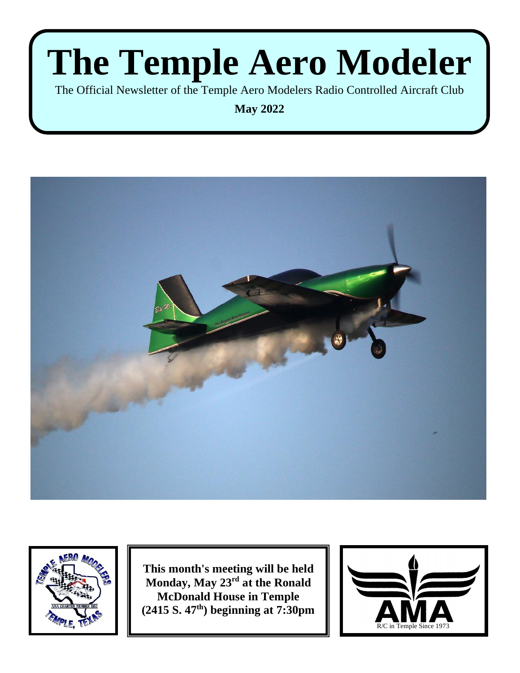The Official Newsletter of the Temple Aero Modelers Radio Controlled Aircraft Club

**May 2022**





**This month's meeting will be held Monday, May 23 rd at the Ronald McDonald House in Temple (2415 S. 47th) beginning at 7:30pm**

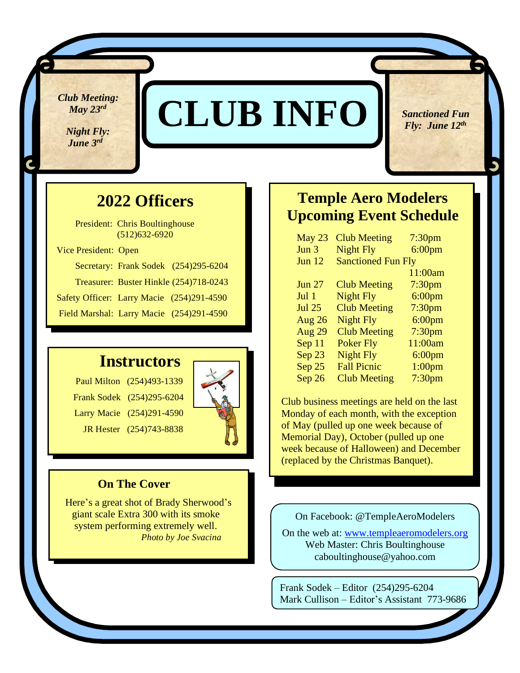*Club Meeting: May 23 rd*

*Night Fly: <i>June* 3<sup>rd</sup></sup>

v

## **CLUB INFO**

 *Sanctioned Fun <i>Fly: June*  $12^{th}$ 

### **2022 Officers**

 President: Chris Boultinghouse (512)632-6920 Vice President: Open Secretary: Frank Sodek (254)295-6204 Treasurer: Buster Hinkle (254)718-0243 Safety Officer: Larry Macie (254)291-4590 Field Marshal: Larry Macie (254)291-4590

### **Instructors**

 Paul Milton (254)493-1339 Frank Sodek (254)295-6204 Larry Macie (254)291-4590 JR Hester (254)743-8838



### **On The Cover**

 Here's a great shot of Brady Sherwood's giant scale Extra 300 with its smoke system performing extremely well. *Photo by Joe Svacina*

### **Temple Aero Modelers Upcoming Event Schedule**

| May 23        | <b>Club Meeting</b>       | 7:30 <sub>pm</sub> |
|---------------|---------------------------|--------------------|
| Jun 3         | <b>Night Fly</b>          | 6:00 <sub>pm</sub> |
| Jun $12$      | <b>Sanctioned Fun Fly</b> |                    |
|               |                           | 11:00am            |
| <b>Jun 27</b> | <b>Club Meeting</b>       | 7:30 <sub>pm</sub> |
| Jul 1         | <b>Night Fly</b>          | $6:00$ pm          |
| <b>Jul 25</b> | <b>Club Meeting</b>       | 7:30 <sub>pm</sub> |
| <b>Aug 26</b> | <b>Night Fly</b>          | $6:00$ pm          |
| Aug 29        | <b>Club Meeting</b>       | 7:30 <sub>pm</sub> |
| Sep 11        | <b>Poker Fly</b>          | 11:00am            |
| Sep 23        | <b>Night Fly</b>          | $6:00$ pm          |
| Sep 25        | <b>Fall Picnic</b>        | $1:00$ pm          |
| Sep 26        | <b>Club Meeting</b>       | 7:30 <sub>pm</sub> |

Club business meetings are held on the last Monday of each month, with the exception of May (pulled up one week because of Memorial Day), October (pulled up one week because of Halloween) and December (replaced by the Christmas Banquet).

On Facebook: @TempleAeroModelers

On the web at: [www.templeaeromodelers.org](http://www.templeaeromodelers.org/) Web Master: Chris Boultinghouse caboultinghouse@yahoo.com

Frank Sodek – Editor (254)295-6204 Mark Cullison – Editor's Assistant 773-9686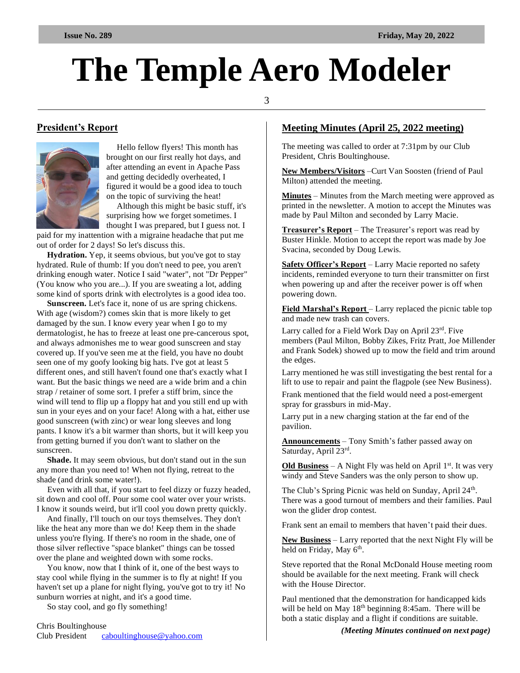3

#### **President's Report**



 Hello fellow flyers! This month has brought on our first really hot days, and after attending an event in Apache Pass and getting decidedly overheated, I figured it would be a good idea to touch on the topic of surviving the heat!

 Although this might be basic stuff, it's surprising how we forget sometimes. I thought I was prepared, but I guess not. I

paid for my inattention with a migraine headache that put me out of order for 2 days! So let's discuss this.

 **Hydration.** Yep, it seems obvious, but you've got to stay hydrated. Rule of thumb: If you don't need to pee, you aren't drinking enough water. Notice I said "water", not "Dr Pepper" (You know who you are...). If you are sweating a lot, adding some kind of sports drink with electrolytes is a good idea too.

 **Sunscreen.** Let's face it, none of us are spring chickens. With age (wisdom?) comes skin that is more likely to get damaged by the sun. I know every year when I go to my dermatologist, he has to freeze at least one pre-cancerous spot, and always admonishes me to wear good sunscreen and stay covered up. If you've seen me at the field, you have no doubt seen one of my goofy looking big hats. I've got at least 5 different ones, and still haven't found one that's exactly what I want. But the basic things we need are a wide brim and a chin strap / retainer of some sort. I prefer a stiff brim, since the wind will tend to flip up a floppy hat and you still end up with sun in your eyes and on your face! Along with a hat, either use good sunscreen (with zinc) or wear long sleeves and long pants. I know it's a bit warmer than shorts, but it will keep you from getting burned if you don't want to slather on the sunscreen.

 **Shade.** It may seem obvious, but don't stand out in the sun any more than you need to! When not flying, retreat to the shade (and drink some water!).

 Even with all that, if you start to feel dizzy or fuzzy headed, sit down and cool off. Pour some cool water over your wrists. I know it sounds weird, but it'll cool you down pretty quickly.

 And finally, I'll touch on our toys themselves. They don't like the heat any more than we do! Keep them in the shade unless you're flying. If there's no room in the shade, one of those silver reflective "space blanket" things can be tossed over the plane and weighted down with some rocks.

 You know, now that I think of it, one of the best ways to stay cool while flying in the summer is to fly at night! If you haven't set up a plane for night flying, you've got to try it! No sunburn worries at night, and it's a good time.

So stay cool, and go fly something!

#### **Meeting Minutes (April 25, 2022 meeting)**

The meeting was called to order at 7:31pm by our Club President, Chris Boultinghouse.

**New Members/Visitors** –Curt Van Soosten (friend of Paul Milton) attended the meeting.

**Minutes** – Minutes from the March meeting were approved as printed in the newsletter. A motion to accept the Minutes was made by Paul Milton and seconded by Larry Macie.

**Treasurer's Report** – The Treasurer's report was read by Buster Hinkle. Motion to accept the report was made by Joe Svacina, seconded by Doug Lewis.

**Safety Officer's Report** – Larry Macie reported no safety incidents, reminded everyone to turn their transmitter on first when powering up and after the receiver power is off when powering down.

**Field Marshal's Report** – Larry replaced the picnic table top and made new trash can covers.

Larry called for a Field Work Day on April 23rd. Five members (Paul Milton, Bobby Zikes, Fritz Pratt, Joe Millender and Frank Sodek) showed up to mow the field and trim around the edges.

Larry mentioned he was still investigating the best rental for a lift to use to repair and paint the flagpole (see New Business).

Frank mentioned that the field would need a post-emergent spray for grassburs in mid-May.

Larry put in a new charging station at the far end of the pavilion.

**Announcements** – Tony Smith's father passed away on Saturday, April 23rd.

Old Business - A Night Fly was held on April 1<sup>st</sup>. It was very windy and Steve Sanders was the only person to show up.

The Club's Spring Picnic was held on Sunday, April 24<sup>th</sup>. There was a good turnout of members and their families. Paul won the glider drop contest.

Frank sent an email to members that haven't paid their dues.

**New Business** – Larry reported that the next Night Fly will be held on Friday, May 6<sup>th</sup>.

Steve reported that the Ronal McDonald House meeting room should be available for the next meeting. Frank will check with the House Director.

Paul mentioned that the demonstration for handicapped kids will be held on May  $18<sup>th</sup>$  beginning 8:45am. There will be both a static display and a flight if conditions are suitable.

 *(Meeting Minutes continued on next page)*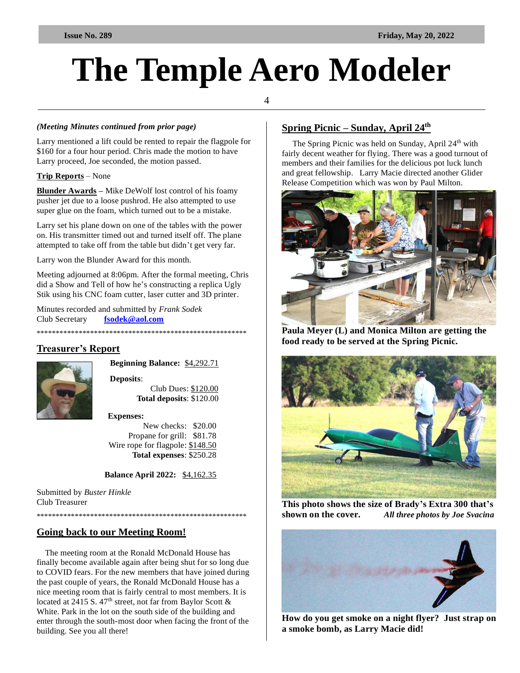#### 4

#### *(Meeting Minutes continued from prior page)*

Larry mentioned a lift could be rented to repair the flagpole for \$160 for a four hour period. Chris made the motion to have Larry proceed, Joe seconded, the motion passed.

#### **Trip Reports** – None

**Blunder Awards –** Mike DeWolf lost control of his foamy pusher jet due to a loose pushrod. He also attempted to use super glue on the foam, which turned out to be a mistake.

Larry set his plane down on one of the tables with the power on. His transmitter timed out and turned itself off. The plane attempted to take off from the table but didn't get very far.

Larry won the Blunder Award for this month.

Meeting adjourned at 8:06pm. After the formal meeting, Chris did a Show and Tell of how he's constructing a replica Ugly Stik using his CNC foam cutter, laser cutter and 3D printer.

Minutes recorded and submitted by *Frank Sodek*  Club Secretary **[fsodek@aol.com](mailto:fsodek@aol.com)**

#### \*\*\*\*\*\*\*\*\*\*\*\*\*\*\*\*\*\*\*\*\*\*\*\*\*\*\*\*\*\*\*\*\*\*\*\*\*\*\*\*\*\*\*\*\*\*\*\*\*\*\*\*\*\*\*

#### **Treasurer's Report**



 **Beginning Balance:** \$4,292.71

 **Deposits**: Club Dues: \$120.00  **Total deposits**: \$120.00

#### **Expenses:**

New checks: \$20.00 Propane for grill: \$81.78 Wire rope for flagpole: \$148.50 **Total expenses**: \$250.28

 **Balance April 2022:** \$4,162.35

Submitted by *Buster Hinkle* Club Treasurer

\*\*\*\*\*\*\*\*\*\*\*\*\*\*\*\*\*\*\*\*\*\*\*\*\*\*\*\*\*\*\*\*\*\*\*\*\*\*\*\*\*\*\*\*\*\*\*\*\*\*\*\*\*\*\*

#### **Going back to our Meeting Room!**

 The meeting room at the Ronald McDonald House has finally become available again after being shut for so long due to COVID fears. For the new members that have joined during the past couple of years, the Ronald McDonald House has a nice meeting room that is fairly central to most members. It is located at 2415 S. 47<sup>th</sup> street, not far from Baylor Scott  $\&$ White. Park in the lot on the south side of the building and enter through the south-most door when facing the front of the building. See you all there!

#### **Spring Picnic – Sunday, April 24th**

The Spring Picnic was held on Sunday, April 24<sup>th</sup> with fairly decent weather for flying. There was a good turnout of members and their families for the delicious pot luck lunch and great fellowship. Larry Macie directed another Glider Release Competition which was won by Paul Milton.



**Paula Meyer (L) and Monica Milton are getting the food ready to be served at the Spring Picnic.**



**This photo shows the size of Brady's Extra 300 that's shown on the cover.** *All three photos by Joe Svacina*



**How do you get smoke on a night flyer? Just strap on a smoke bomb, as Larry Macie did!**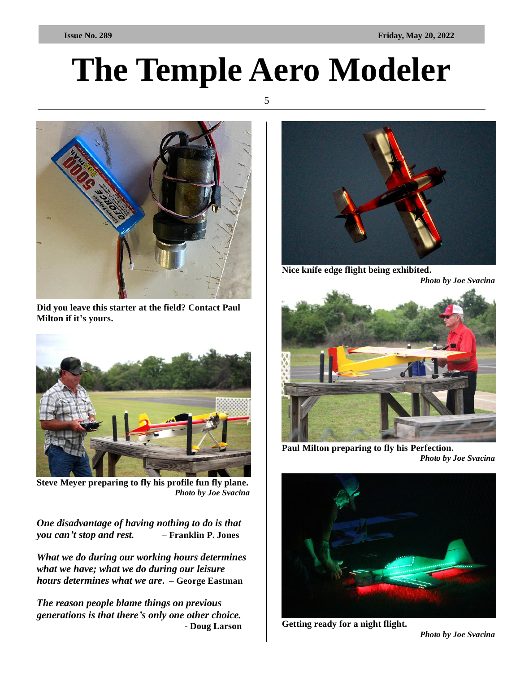5



**Did you leave this starter at the field? Contact Paul Milton if it's yours.**



**Steve Meyer preparing to fly his profile fun fly plane.** *Photo by Joe Svacina*

*One disadvantage of having nothing to do is that you can't stop and rest. –* **Franklin P. Jones**

*What we do during our working hours determines what we have; what we do during our leisure hours determines what we are***. – George Eastman** 

*The reason people blame things on previous generations is that there's only one other choice.* **- Doug Larson** 



**Nice knife edge flight being exhibited.**

*Photo by Joe Svacina*



**Paul Milton preparing to fly his Perfection.** *Photo by Joe Svacina*



**Getting ready for a night flight.**